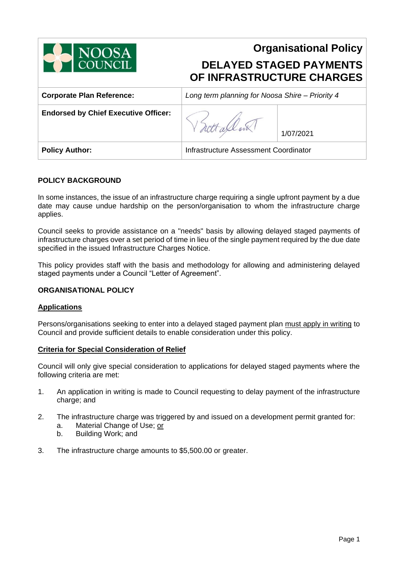

# **Organisational Policy DELAYED STAGED PAYMENTS OF INFRASTRUCTURE CHARGES**

| <b>Corporate Plan Reference:</b>            | Long term planning for Noosa Shire - Priority 4 |           |
|---------------------------------------------|-------------------------------------------------|-----------|
| <b>Endorsed by Chief Executive Officer:</b> |                                                 | 1/07/2021 |
| <b>Policy Author:</b>                       | Infrastructure Assessment Coordinator           |           |

## **POLICY BACKGROUND**

In some instances, the issue of an infrastructure charge requiring a single upfront payment by a due date may cause undue hardship on the person/organisation to whom the infrastructure charge applies.

Council seeks to provide assistance on a "needs" basis by allowing delayed staged payments of infrastructure charges over a set period of time in lieu of the single payment required by the due date specified in the issued Infrastructure Charges Notice.

This policy provides staff with the basis and methodology for allowing and administering delayed staged payments under a Council "Letter of Agreement".

## **ORGANISATIONAL POLICY**

## **Applications**

Persons/organisations seeking to enter into a delayed staged payment plan must apply in writing to Council and provide sufficient details to enable consideration under this policy.

## **Criteria for Special Consideration of Relief**

Council will only give special consideration to applications for delayed staged payments where the following criteria are met:

- 1. An application in writing is made to Council requesting to delay payment of the infrastructure charge; and
- 2. The infrastructure charge was triggered by and issued on a development permit granted for:
	- a. Material Change of Use; or
	- b. Building Work; and
- 3. The infrastructure charge amounts to \$5,500.00 or greater.